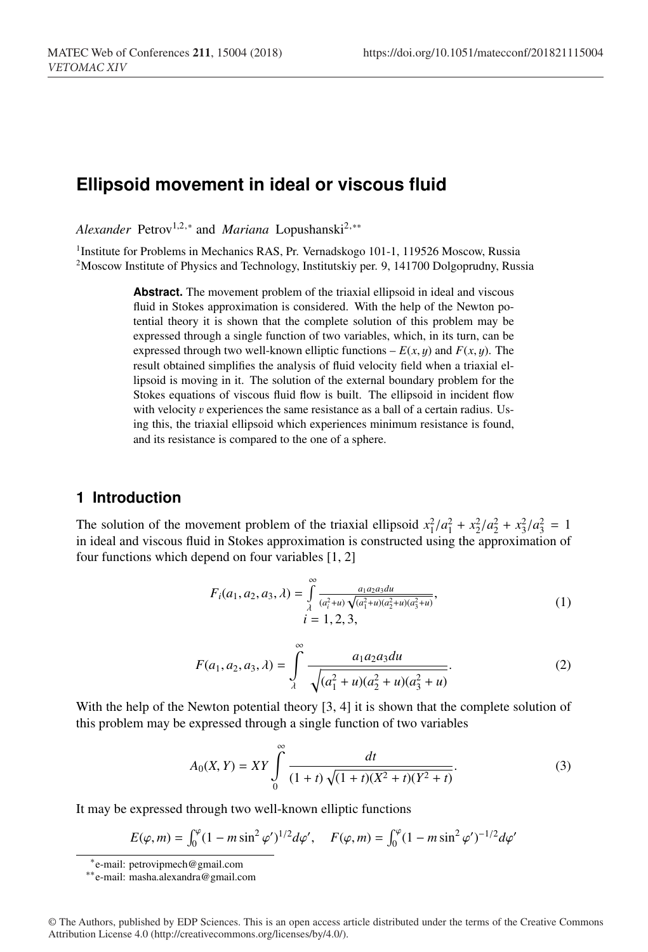# **Ellipsoid movement in ideal or viscous fluid**

*Alexander* Petrov<sup>1,2,∗</sup> and *Mariana* Lopushanski<sup>2,</sup>\*\*

<sup>1</sup>Institute for Problems in Mechanics RAS, Pr. Vernadskogo 101-1, 119526 Moscow, Russia <sup>2</sup>Moscow Institute of Physics and Technology, Institutskiy per. 9, 141700 Dolgoprudny, Russia

> **Abstract.** The movement problem of the triaxial ellipsoid in ideal and viscous fluid in Stokes approximation is considered. With the help of the Newton potential theory it is shown that the complete solution of this problem may be expressed through a single function of two variables, which, in its turn, can be expressed through two well-known elliptic functions  $-E(x, y)$  and  $F(x, y)$ . The result obtained simplifies the analysis of fluid velocity field when a triaxial ellipsoid is moving in it. The solution of the external boundary problem for the Stokes equations of viscous fluid flow is built. The ellipsoid in incident flow with velocity  $v$  experiences the same resistance as a ball of a certain radius. Using this, the triaxial ellipsoid which experiences minimum resistance is found, and its resistance is compared to the one of a sphere.

## **1 Introduction**

The solution of the movement problem of the triaxial ellipsoid  $x_1^2/a_1^2 + x_2^2/a_2^2 + x_3^2/a_3^2 = 1$ in ideal and viscous fluid in Stokes approximation is constructed using the approximation of four functions which depend on four variables [1, 2]

$$
F_i(a_1, a_2, a_3, \lambda) = \int_{\lambda}^{\infty} \frac{a_1 a_2 a_3 d u}{(a_i^2 + u) \sqrt{(a_1^2 + u)(a_2^2 + u)(a_3^2 + u)}},
$$
  
\n $i = 1, 2, 3,$  (1)

$$
F(a_1, a_2, a_3, \lambda) = \int_{\lambda}^{\infty} \frac{a_1 a_2 a_3 du}{\sqrt{(a_1^2 + u)(a_2^2 + u)(a_3^2 + u)}}.
$$
 (2)

With the help of the Newton potential theory [3, 4] it is shown that the complete solution of this problem may be expressed through a single function of two variables

$$
A_0(X,Y) = XY \int_0^{\infty} \frac{dt}{(1+t)\sqrt{(1+t)(X^2+t)(Y^2+t)}}.
$$
\n(3)

It may be expressed through two well-known elliptic functions

$$
E(\varphi, m) = \int_0^{\varphi} (1 - m \sin^2 \varphi')^{1/2} d\varphi', \quad F(\varphi, m) = \int_0^{\varphi} (1 - m \sin^2 \varphi')^{-1/2} d\varphi'
$$

<sup>∗</sup>e-mail: petrovipmech@gmail.com

<sup>∗∗</sup>e-mail: masha.alexandra@gmail.com

<sup>©</sup> The Authors, published by EDP Sciences. This is an open access article distributed under the terms of the Creative Commons Attribution License 4.0 (http://creativecommons.org/licenses/by/4.0/).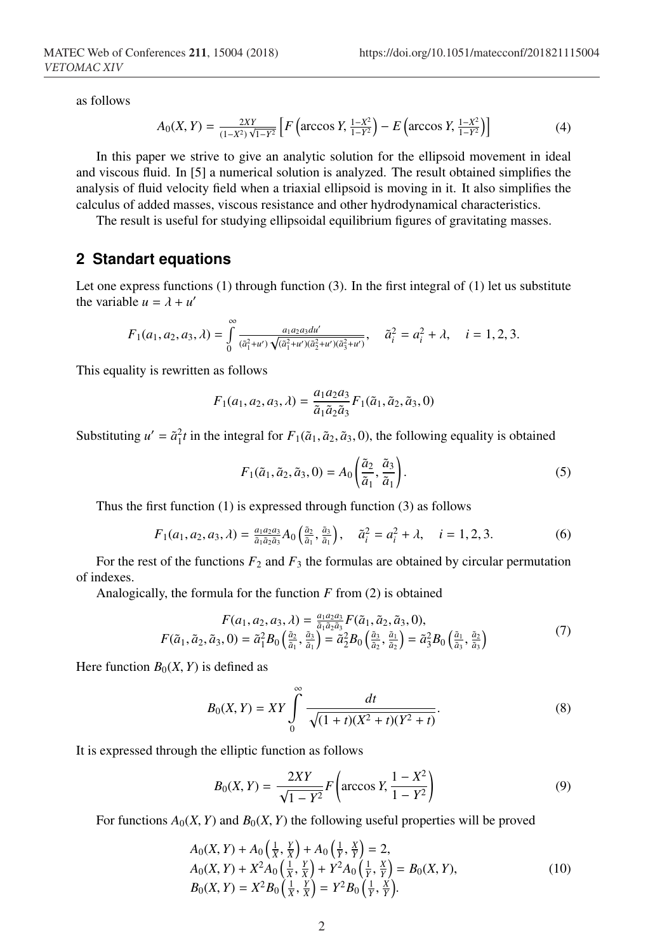as follows

$$
A_0(X,Y) = \frac{2XY}{(1-X^2)\sqrt{1-Y^2}} \left[ F\left(\arccos Y, \frac{1-X^2}{1-Y^2}\right) - E\left(\arccos Y, \frac{1-X^2}{1-Y^2}\right) \right] \tag{4}
$$

In this paper we strive to give an analytic solution for the ellipsoid movement in ideal and viscous fluid. In [5] a numerical solution is analyzed. The result obtained simplifies the analysis of fluid velocity field when a triaxial ellipsoid is moving in it. It also simplifies the calculus of added masses, viscous resistance and other hydrodynamical characteristics.

The result is useful for studying ellipsoidal equilibrium figures of gravitating masses.

### **2 Standart equations**

Let one express functions (1) through function (3). In the first integral of (1) let us substitute the variable  $u = \lambda + u'$ 

$$
F_1(a_1, a_2, a_3, \lambda) = \int_0^\infty \frac{a_1 a_2 a_3 d u'}{(\tilde{a}_1^2 + u')\sqrt{(\tilde{a}_1^2 + u')(\tilde{a}_2^2 + u')(\tilde{a}_3^2 + u')}} , \quad \tilde{a}_i^2 = a_i^2 + \lambda, \quad i = 1, 2, 3.
$$

This equality is rewritten as follows

$$
F_1(a_1, a_2, a_3, \lambda) = \frac{a_1 a_2 a_3}{\tilde{a}_1 \tilde{a}_2 \tilde{a}_3} F_1(\tilde{a}_1, \tilde{a}_2, \tilde{a}_3, 0)
$$

Substituting  $u' = \tilde{a}_1^2 t$  in the integral for  $F_1(\tilde{a}_1, \tilde{a}_2, \tilde{a}_3, 0)$ , the following equality is obtained

$$
F_1(\tilde{a}_1, \tilde{a}_2, \tilde{a}_3, 0) = A_0 \left( \frac{\tilde{a}_2}{\tilde{a}_1}, \frac{\tilde{a}_3}{\tilde{a}_1} \right).
$$
 (5)

Thus the first function (1) is expressed through function (3) as follows

$$
F_1(a_1, a_2, a_3, \lambda) = \frac{a_1 a_2 a_3}{\tilde{a}_1 \tilde{a}_2 \tilde{a}_3} A_0 \left( \frac{\tilde{a}_2}{\tilde{a}_1}, \frac{\tilde{a}_3}{\tilde{a}_1} \right), \quad \tilde{a}_i^2 = a_i^2 + \lambda, \quad i = 1, 2, 3.
$$
 (6)

For the rest of the functions  $F_2$  and  $F_3$  the formulas are obtained by circular permutation of indexes.

Analogically, the formula for the function *F* from (2) is obtained

$$
F(a_1, a_2, a_3, \lambda) = \frac{a_1 a_2 a_3}{\tilde{a}_1 \tilde{a}_2 \tilde{a}_3} F(\tilde{a}_1, \tilde{a}_2, \tilde{a}_3, 0),
$$
  

$$
F(\tilde{a}_1, \tilde{a}_2, \tilde{a}_3, 0) = \tilde{a}_1^2 B_0 \left( \frac{\tilde{a}_2}{\tilde{a}_1}, \frac{\tilde{a}_3}{\tilde{a}_1} \right) = \tilde{a}_2^2 B_0 \left( \frac{\tilde{a}_3}{\tilde{a}_2}, \frac{\tilde{a}_1}{\tilde{a}_2} \right) = \tilde{a}_3^2 B_0 \left( \frac{\tilde{a}_1}{\tilde{a}_3}, \frac{\tilde{a}_2}{\tilde{a}_3} \right)
$$
(7)

Here function  $B_0(X, Y)$  is defined as

$$
B_0(X,Y) = XY \int_0^{\infty} \frac{dt}{\sqrt{(1+t)(X^2+t)(Y^2+t)}}.
$$
\n(8)

It is expressed through the elliptic function as follows

$$
B_0(X, Y) = \frac{2XY}{\sqrt{1 - Y^2}} F\left(\arccos Y, \frac{1 - X^2}{1 - Y^2}\right)
$$
 (9)

For functions  $A_0(X, Y)$  and  $B_0(X, Y)$  the following useful properties will be proved

$$
A_0(X, Y) + A_0\left(\frac{1}{X}, \frac{Y}{X}\right) + A_0\left(\frac{1}{Y}, \frac{X}{Y}\right) = 2,A_0(X, Y) + X^2 A_0\left(\frac{1}{X}, \frac{Y}{X}\right) + Y^2 A_0\left(\frac{1}{Y}, \frac{Y}{Y}\right) = B_0(X, Y),B_0(X, Y) = X^2 B_0\left(\frac{1}{X}, \frac{Y}{X}\right) = Y^2 B_0\left(\frac{1}{Y}, \frac{X}{Y}\right).
$$
 (10)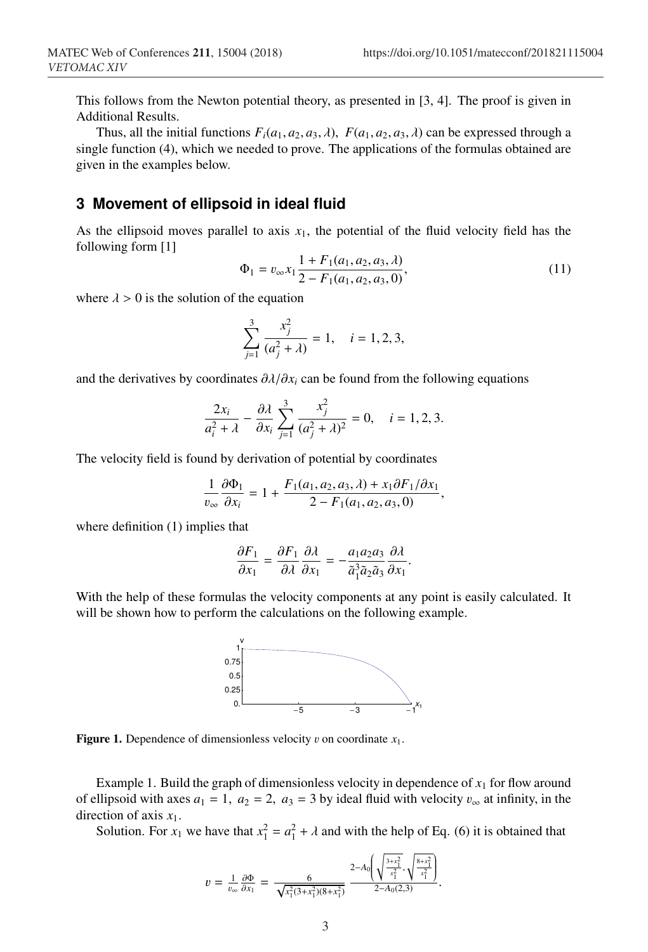This follows from the Newton potential theory, as presented in [3, 4]. The proof is given in Additional Results.

Thus, all the initial functions  $F_i(a_1, a_2, a_3, \lambda)$ ,  $F(a_1, a_2, a_3, \lambda)$  can be expressed through a single function (4), which we needed to prove. The applications of the formulas obtained are given in the examples below.

# **3 Movement of ellipsoid in ideal fluid**

As the ellipsoid moves parallel to axis  $x_1$ , the potential of the fluid velocity field has the following form [1]

$$
\Phi_1 = v_{\infty} x_1 \frac{1 + F_1(a_1, a_2, a_3, \lambda)}{2 - F_1(a_1, a_2, a_3, 0)},
$$
\n(11)

.

where  $\lambda > 0$  is the solution of the equation

$$
\sum_{j=1}^{3} \frac{x_j^2}{(a_j^2 + \lambda)} = 1, \quad i = 1, 2, 3,
$$

and the derivatives by coordinates  $\partial \lambda/\partial x_i$  can be found from the following equations

$$
\frac{2x_i}{a_i^2 + \lambda} - \frac{\partial \lambda}{\partial x_i} \sum_{j=1}^3 \frac{x_j^2}{(a_j^2 + \lambda)^2} = 0, \quad i = 1, 2, 3.
$$

The velocity field is found by derivation of potential by coordinates

$$
\frac{1}{v_{\infty}} \frac{\partial \Phi_1}{\partial x_i} = 1 + \frac{F_1(a_1, a_2, a_3, \lambda) + x_1 \partial F_1/\partial x_1}{2 - F_1(a_1, a_2, a_3, 0)},
$$

where definition (1) implies that

$$
\frac{\partial F_1}{\partial x_1} = \frac{\partial F_1}{\partial \lambda} \frac{\partial \lambda}{\partial x_1} = -\frac{a_1 a_2 a_3}{\tilde{a}_1^3 \tilde{a}_2 \tilde{a}_3} \frac{\partial \lambda}{\partial x_1}
$$

With the help of these formulas the velocity components at any point is easily calculated. It will be shown how to perform the calculations on the following example.



**Figure 1.** Dependence of dimensionless velocity v on coordinate  $x_1$ .

Example 1. Build the graph of dimensionless velocity in dependence of  $x_1$  for flow around of ellipsoid with axes  $a_1 = 1$ ,  $a_2 = 2$ ,  $a_3 = 3$  by ideal fluid with velocity  $v_{\infty}$  at infinity, in the direction of axis  $x_1$ .

Solution. For  $x_1$  we have that  $x_1^2 = a_1^2 + \lambda$  and with the help of Eq. (6) it is obtained that

$$
v = \frac{1}{v_{\infty}} \frac{\partial \Phi}{\partial x_1} = \frac{6}{\sqrt{x_1^2 (3 + x_1^2)(8 + x_1^2)}} \frac{2 - A_0 \left( \sqrt{\frac{3 + x_1^2}{x_1^2}}, \sqrt{\frac{8 + x_1^2}{x_1^2}} \right)}{2 - A_0 (2, 3)}.
$$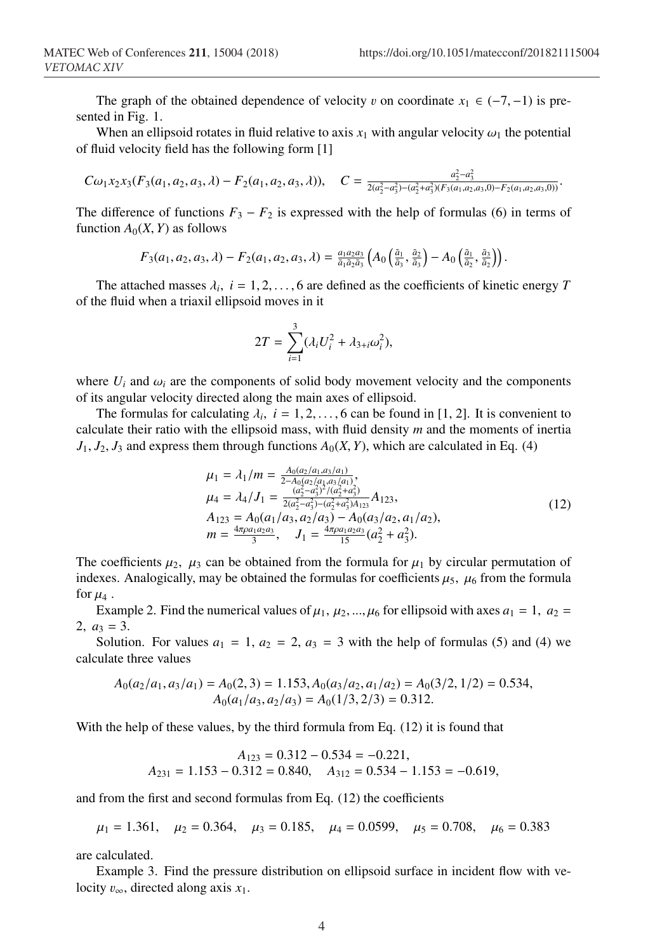The graph of the obtained dependence of velocity v on coordinate  $x_1 \in (-7, -1)$  is presented in Fig. 1.

When an ellipsoid rotates in fluid relative to axis  $x_1$  with angular velocity  $\omega_1$  the potential of fluid velocity field has the following form [1]

$$
C\omega_1x_2x_3(F_3(a_1,a_2,a_3,\lambda)-F_2(a_1,a_2,a_3,\lambda)), \quad C=\frac{a_2^2-a_3^2}{2(a_2^2-a_3^2)-(a_2^2+a_3^2)(F_3(a_1,a_2,a_3,0)-F_2(a_1,a_2,a_3,0))}.
$$

The difference of functions  $F_3 - F_2$  is expressed with the help of formulas (6) in terms of function  $A_0(X, Y)$  as follows

$$
F_3(a_1, a_2, a_3, \lambda) - F_2(a_1, a_2, a_3, \lambda) = \frac{a_1 a_2 a_3}{\tilde{a}_1 \tilde{a}_2 \tilde{a}_3} \left( A_0 \left( \frac{\tilde{a}_1}{\tilde{a}_3}, \frac{\tilde{a}_2}{\tilde{a}_3} \right) - A_0 \left( \frac{\tilde{a}_1}{\tilde{a}_2}, \frac{\tilde{a}_3}{\tilde{a}_2} \right) \right).
$$

The attached masses  $\lambda_i$ ,  $i = 1, 2, \ldots, 6$  are defined as the coefficients of kinetic energy *T* of the fluid when a triaxil ellipsoid moves in it

$$
2T = \sum_{i=1}^{3} (\lambda_i U_i^2 + \lambda_{3+i} \omega_i^2),
$$

where  $U_i$  and  $\omega_i$  are the components of solid body movement velocity and the components of its angular velocity directed along the main axes of ellipsoid.

The formulas for calculating  $\lambda_i$ ,  $i = 1, 2, \ldots, 6$  can be found in [1, 2]. It is convenient to calculate their ratio with the ellipsoid mass, with fluid density *m* and the moments of inertia  $J_1, J_2, J_3$  and express them through functions  $A_0(X, Y)$ , which are calculated in Eq. (4)

$$
\mu_1 = \lambda_1/m = \frac{A_0(a_2/a_1,a_3/a_1)}{2-A_0(a_2/a_1,a_3/a_1)}, \n\mu_4 = \lambda_4/J_1 = \frac{(a_2^2-a_3^2)^2/(a_2^2+a_3^2)}{(2a_2^2-a_3^2)^2-(a_2^2+a_3^2)a_{123}}A_{123}, \nA_{123} = A_0(a_1/a_3, a_2/a_3) - A_0(a_3/a_2, a_1/a_2), \nm = \frac{4\pi\rho a_1 a_2 a_3}{3}, \quad J_1 = \frac{4\pi\rho a_1 a_2 a_3}{15}(a_2^2+a_3^2).
$$
\n(12)

The coefficients  $\mu_2$ ,  $\mu_3$  can be obtained from the formula for  $\mu_1$  by circular permutation of indexes. Analogically, may be obtained the formulas for coefficients  $\mu_5$ ,  $\mu_6$  from the formula for  $\mu_4$ .

Example 2. Find the numerical values of  $\mu_1$ ,  $\mu_2$ , ...,  $\mu_6$  for ellipsoid with axes  $a_1 = 1$ ,  $a_2 =$ 2,  $a_3 = 3$ .

Solution. For values  $a_1 = 1$ ,  $a_2 = 2$ ,  $a_3 = 3$  with the help of formulas (5) and (4) we calculate three values

$$
A_0(a_2/a_1, a_3/a_1) = A_0(2, 3) = 1.153, A_0(a_3/a_2, a_1/a_2) = A_0(3/2, 1/2) = 0.534,
$$
  

$$
A_0(a_1/a_3, a_2/a_3) = A_0(1/3, 2/3) = 0.312.
$$

With the help of these values, by the third formula from Eq. (12) it is found that

$$
A_{123} = 0.312 - 0.534 = -0.221,
$$
  

$$
A_{231} = 1.153 - 0.312 = 0.840, \quad A_{312} = 0.534 - 1.153 = -0.619,
$$

and from the first and second formulas from Eq. (12) the coefficients

$$
\mu_1 = 1.361
$$
,  $\mu_2 = 0.364$ ,  $\mu_3 = 0.185$ ,  $\mu_4 = 0.0599$ ,  $\mu_5 = 0.708$ ,  $\mu_6 = 0.383$ 

are calculated.

Example 3. Find the pressure distribution on ellipsoid surface in incident flow with velocity  $v_{\infty}$ , directed along axis  $x_1$ .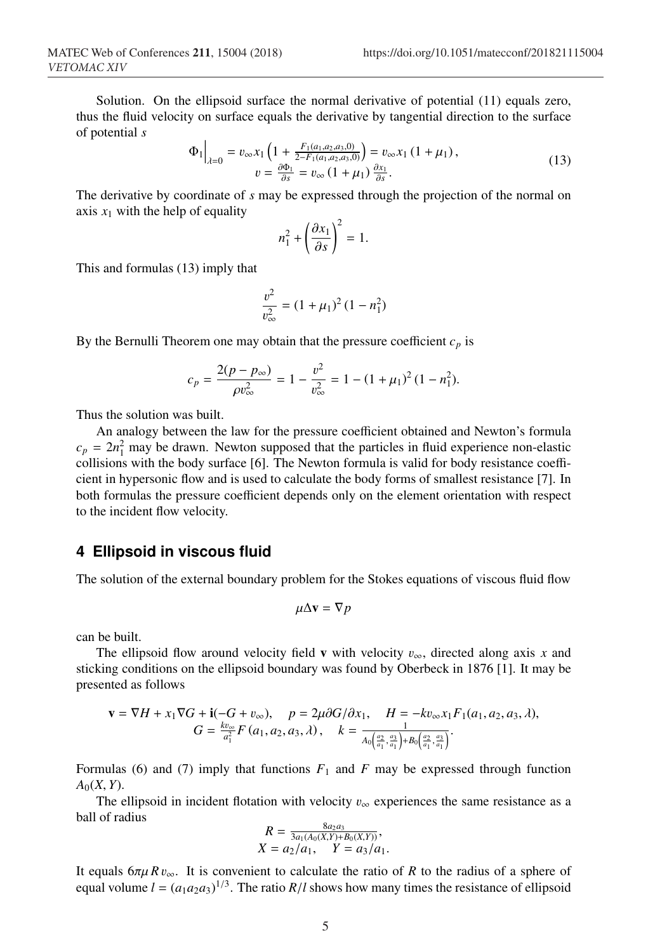Solution. On the ellipsoid surface the normal derivative of potential (11) equals zero, thus the fluid velocity on surface equals the derivative by tangential direction to the surface of potential *s*

$$
\Phi_1\Big|_{\lambda=0} = v_{\infty} x_1 \left(1 + \frac{F_1(a_1, a_2, a_3, 0)}{2 - F_1(a_1, a_2, a_3, 0)}\right) = v_{\infty} x_1 (1 + \mu_1),
$$
  
\n
$$
v = \frac{\partial \Phi_1}{\partial s} = v_{\infty} (1 + \mu_1) \frac{\partial x_1}{\partial s}.
$$
\n(13)

The derivative by coordinate of *s* may be expressed through the projection of the normal on axis  $x_1$  with the help of equality

$$
n_1^2 + \left(\frac{\partial x_1}{\partial s}\right)^2 = 1.
$$

This and formulas (13) imply that

$$
\frac{v^2}{v_{\infty}^2} = (1 + \mu_1)^2 (1 - n_1^2)
$$

By the Bernulli Theorem one may obtain that the pressure coefficient  $c_p$  is

$$
c_p = \frac{2(p - p_{\infty})}{\rho v_{\infty}^2} = 1 - \frac{v^2}{v_{\infty}^2} = 1 - (1 + \mu_1)^2 (1 - n_1^2).
$$

Thus the solution was built.

An analogy between the law for the pressure coefficient obtained and Newton's formula  $c_p = 2n_1^2$  may be drawn. Newton supposed that the particles in fluid experience non-elastic collisions with the body surface [6]. The Newton formula is valid for body resistance coefficient in hypersonic flow and is used to calculate the body forms of smallest resistance [7]. In both formulas the pressure coefficient depends only on the element orientation with respect to the incident flow velocity.

#### **4 Ellipsoid in viscous fluid**

The solution of the external boundary problem for the Stokes equations of viscous fluid flow

$$
\mu \Delta \mathbf{v} = \nabla p
$$

can be built.

The ellipsoid flow around velocity field v with velocity  $v_{\infty}$ , directed along axis *x* and sticking conditions on the ellipsoid boundary was found by Oberbeck in 1876 [1]. It may be presented as follows

$$
\mathbf{v} = \nabla H + x_1 \nabla G + \mathbf{i}(-G + v_{\infty}), \quad p = 2\mu \partial G/\partial x_1, \quad H = -kv_{\infty}x_1 F_1(a_1, a_2, a_3, \lambda), G = \frac{kv_{\infty}}{a_1^2} F(a_1, a_2, a_3, \lambda), \quad k = \frac{1}{A_0\left(\frac{a_2}{a_1}, \frac{a_3}{a_1}\right) + B_0\left(\frac{a_2}{a_1}, \frac{a_3}{a_1}\right)}.
$$

Formulas (6) and (7) imply that functions  $F_1$  and  $F$  may be expressed through function  $A_0(X, Y)$ .

The ellipsoid in incident flotation with velocity  $v_{\infty}$  experiences the same resistance as a ball of radius

$$
R = \frac{8a_2a_3}{3a_1(A_0(X,Y) + B_0(X,Y))},
$$
  
 
$$
X = a_2/a_1, \quad Y = a_3/a_1.
$$

It equals  $6\pi\mu R v_{\infty}$ . It is convenient to calculate the ratio of *R* to the radius of a sphere of equal volume  $l = (a_1 a_2 a_3)^{1/3}$ . The ratio  $R/l$  shows how many times the resistance of ellipsoid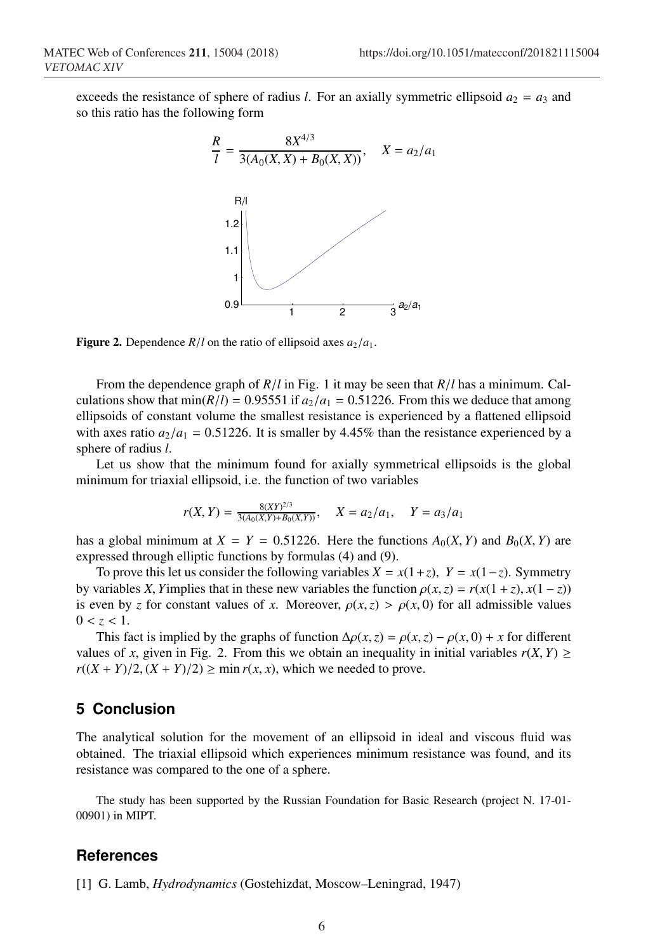exceeds the resistance of sphere of radius *l*. For an axially symmetric ellipsoid  $a_2 = a_3$  and so this ratio has the following form



**Figure 2.** Dependence  $R/l$  on the ratio of ellipsoid axes  $a_2/a_1$ .

From the dependence graph of *R*/*l* in Fig. 1 it may be seen that *R*/*l* has a minimum. Calculations show that  $min(R/l) = 0.95551$  if  $a_2/a_1 = 0.51226$ . From this we deduce that among ellipsoids of constant volume the smallest resistance is experienced by a flattened ellipsoid with axes ratio  $a_2/a_1 = 0.51226$ . It is smaller by 4.45% than the resistance experienced by a sphere of radius *l*.

Let us show that the minimum found for axially symmetrical ellipsoids is the global minimum for triaxial ellipsoid, i.e. the function of two variables

$$
r(X,Y) = \frac{8(XY)^{2/3}}{3(A_0(X,Y) + B_0(X,Y))}, \quad X = a_2/a_1, \quad Y = a_3/a_1
$$

has a global minimum at  $X = Y = 0.51226$ . Here the functions  $A_0(X, Y)$  and  $B_0(X, Y)$  are expressed through elliptic functions by formulas (4) and (9).

To prove this let us consider the following variables  $X = x(1+z)$ ,  $Y = x(1-z)$ . Symmetry by variables *X*, *Y*implies that in these new variables the function  $\rho(x, z) = r(x(1 + z), x(1 - z))$ is even by *z* for constant values of *x*. Moreover,  $\rho(x, z) > \rho(x, 0)$  for all admissible values  $0 < z < 1$ .

This fact is implied by the graphs of function  $\Delta \rho(x, z) = \rho(x, z) - \rho(x, 0) + x$  for different values of *x*, given in Fig. 2. From this we obtain an inequality in initial variables  $r(X, Y) \ge$  $r((X + Y)/2, (X + Y)/2) \ge \min r(x, x)$ , which we needed to prove.

### **5 Conclusion**

The analytical solution for the movement of an ellipsoid in ideal and viscous fluid was obtained. The triaxial ellipsoid which experiences minimum resistance was found, and its resistance was compared to the one of a sphere.

The study has been supported by the Russian Foundation for Basic Research (project N. 17-01- 00901) in MIPT.

#### **References**

[1] G. Lamb, *Hydrodynamics* (Gostehizdat, Moscow–Leningrad, 1947)